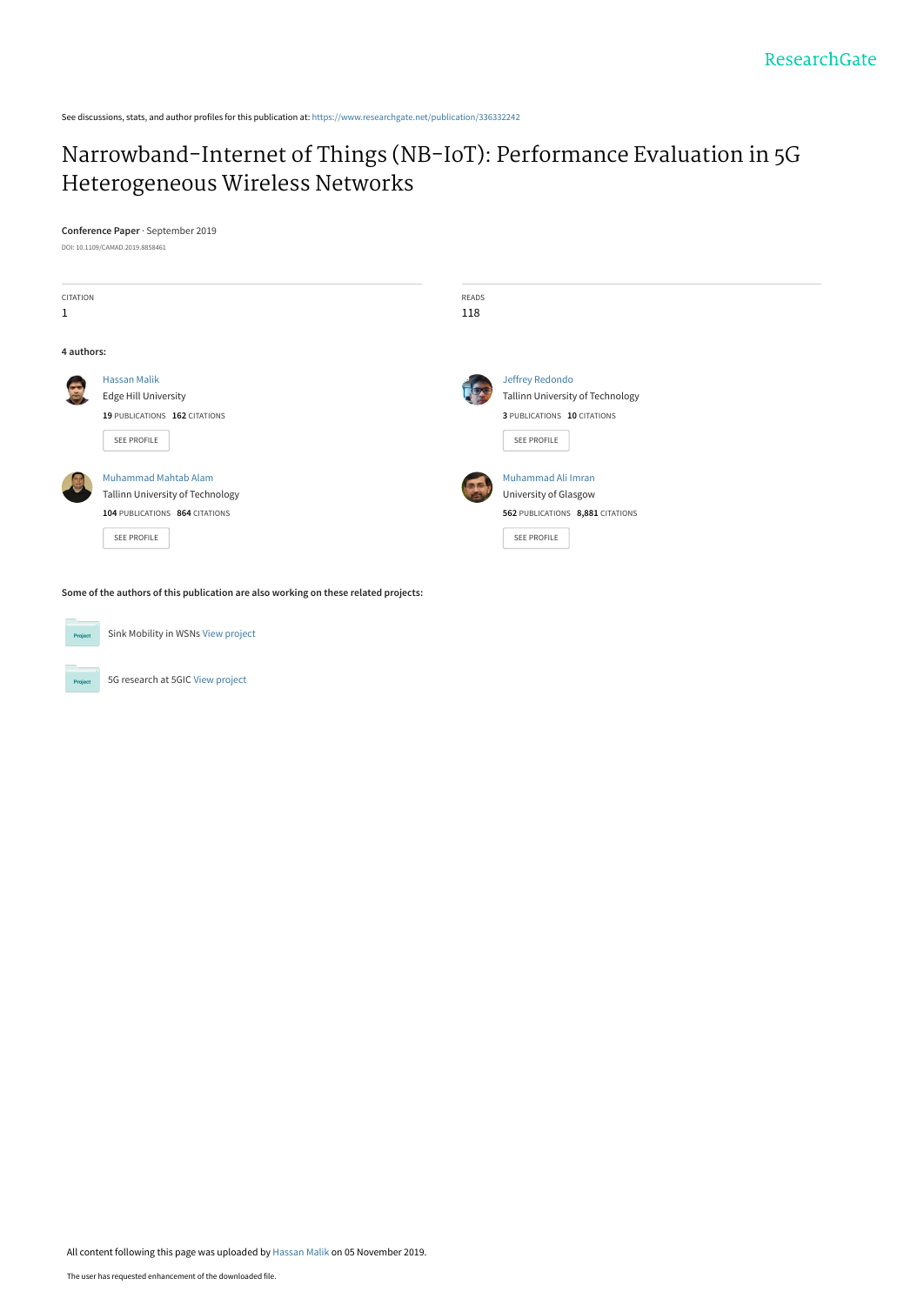See discussions, stats, and author profiles for this publication at: [https://www.researchgate.net/publication/336332242](https://www.researchgate.net/publication/336332242_Narrowband-Internet_of_Things_NB-IoT_Performance_Evaluation_in_5G_Heterogeneous_Wireless_Networks?enrichId=rgreq-5f8c33ec90cf6d5896ced74b1bb547be-XXX&enrichSource=Y292ZXJQYWdlOzMzNjMzMjI0MjtBUzo4MjE2OTcwMTU5OTY0MTZAMTU3MjkxOTI0MzAwNg%3D%3D&el=1_x_2&_esc=publicationCoverPdf)

# [Narrowband-Internet of Things \(NB-IoT\): Performance Evaluation in 5G](https://www.researchgate.net/publication/336332242_Narrowband-Internet_of_Things_NB-IoT_Performance_Evaluation_in_5G_Heterogeneous_Wireless_Networks?enrichId=rgreq-5f8c33ec90cf6d5896ced74b1bb547be-XXX&enrichSource=Y292ZXJQYWdlOzMzNjMzMjI0MjtBUzo4MjE2OTcwMTU5OTY0MTZAMTU3MjkxOTI0MzAwNg%3D%3D&el=1_x_3&_esc=publicationCoverPdf) Heterogeneous Wireless Networks

## **Conference Paper** · September 2019

DOI: 10.1109/CAMAD.2019.8858461



**Some of the authors of this publication are also working on these related projects:**

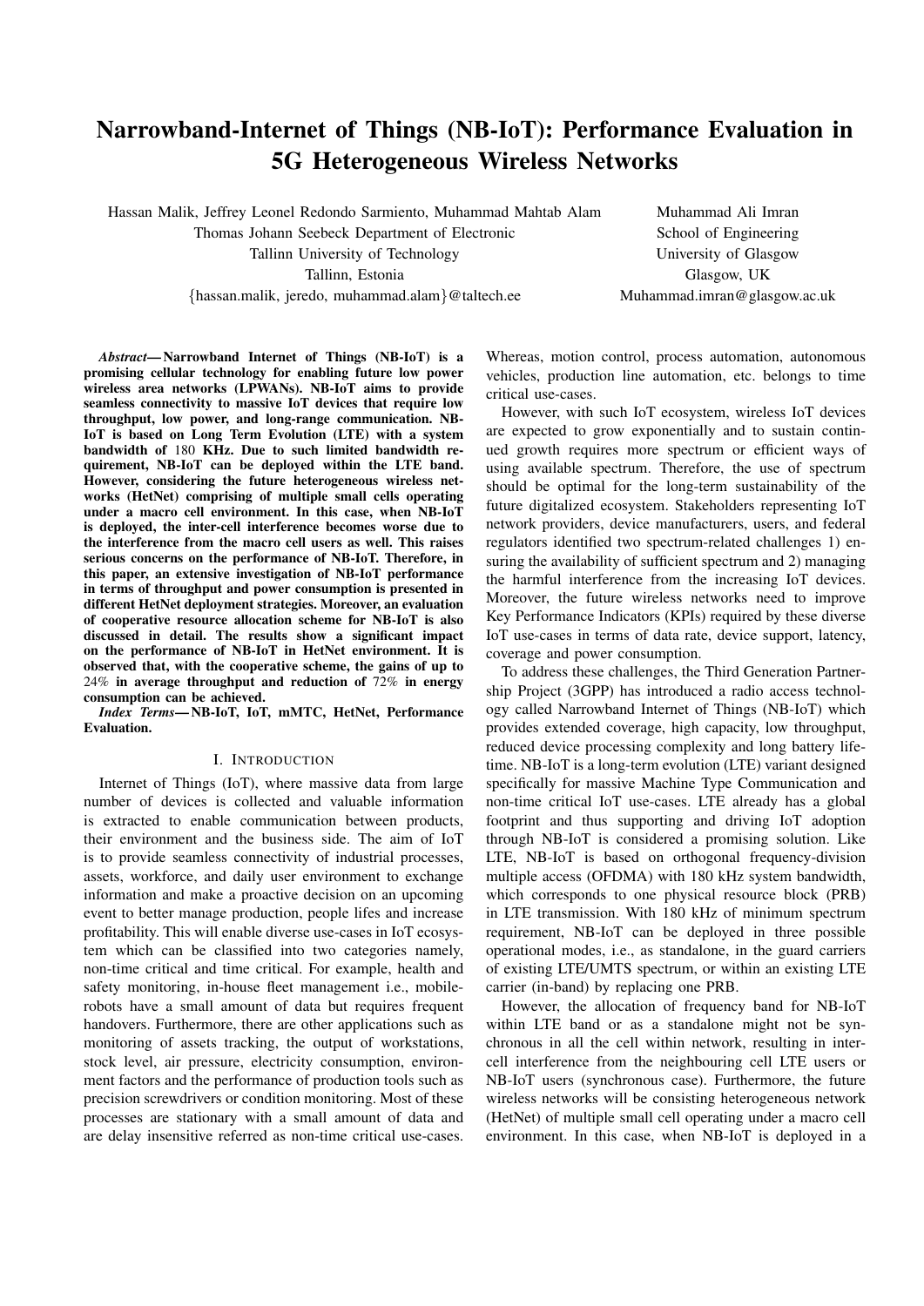# Narrowband-Internet of Things (NB-IoT): Performance Evaluation in 5G Heterogeneous Wireless Networks

Hassan Malik, Jeffrey Leonel Redondo Sarmiento, Muhammad Mahtab Alam Muhammad Ali Imran Thomas Johann Seebeck Department of Electronic School of Engineering Tallinn University of Technology University of Glasgow Tallinn, Estonia Glasgow, UK {hassan.malik, jeredo, muhammad.alam}@taltech.ee Muhammad.imran@glasgow.ac.uk

*Abstract*— Narrowband Internet of Things (NB-IoT) is a promising cellular technology for enabling future low power wireless area networks (LPWANs). NB-IoT aims to provide seamless connectivity to massive IoT devices that require low throughput, low power, and long-range communication. NB-IoT is based on Long Term Evolution (LTE) with a system bandwidth of 180 KHz. Due to such limited bandwidth requirement, NB-IoT can be deployed within the LTE band. However, considering the future heterogeneous wireless networks (HetNet) comprising of multiple small cells operating under a macro cell environment. In this case, when NB-IoT is deployed, the inter-cell interference becomes worse due to the interference from the macro cell users as well. This raises serious concerns on the performance of NB-IoT. Therefore, in this paper, an extensive investigation of NB-IoT performance in terms of throughput and power consumption is presented in different HetNet deployment strategies. Moreover, an evaluation of cooperative resource allocation scheme for NB-IoT is also discussed in detail. The results show a significant impact on the performance of NB-IoT in HetNet environment. It is observed that, with the cooperative scheme, the gains of up to 24% in average throughput and reduction of 72% in energy consumption can be achieved.

*Index Terms*— NB-IoT, IoT, mMTC, HetNet, Performance Evaluation.

## I. INTRODUCTION

Internet of Things (IoT), where massive data from large number of devices is collected and valuable information is extracted to enable communication between products, their environment and the business side. The aim of IoT is to provide seamless connectivity of industrial processes, assets, workforce, and daily user environment to exchange information and make a proactive decision on an upcoming event to better manage production, people lifes and increase profitability. This will enable diverse use-cases in IoT ecosystem which can be classified into two categories namely, non-time critical and time critical. For example, health and safety monitoring, in-house fleet management i.e., mobilerobots have a small amount of data but requires frequent handovers. Furthermore, there are other applications such as monitoring of assets tracking, the output of workstations, stock level, air pressure, electricity consumption, environment factors and the performance of production tools such as precision screwdrivers or condition monitoring. Most of these processes are stationary with a small amount of data and are delay insensitive referred as non-time critical use-cases.

Whereas, motion control, process automation, autonomous vehicles, production line automation, etc. belongs to time critical use-cases.

However, with such IoT ecosystem, wireless IoT devices are expected to grow exponentially and to sustain continued growth requires more spectrum or efficient ways of using available spectrum. Therefore, the use of spectrum should be optimal for the long-term sustainability of the future digitalized ecosystem. Stakeholders representing IoT network providers, device manufacturers, users, and federal regulators identified two spectrum-related challenges 1) ensuring the availability of sufficient spectrum and 2) managing the harmful interference from the increasing IoT devices. Moreover, the future wireless networks need to improve Key Performance Indicators (KPIs) required by these diverse IoT use-cases in terms of data rate, device support, latency, coverage and power consumption.

To address these challenges, the Third Generation Partnership Project (3GPP) has introduced a radio access technology called Narrowband Internet of Things (NB-IoT) which provides extended coverage, high capacity, low throughput, reduced device processing complexity and long battery lifetime. NB-IoT is a long-term evolution (LTE) variant designed specifically for massive Machine Type Communication and non-time critical IoT use-cases. LTE already has a global footprint and thus supporting and driving IoT adoption through NB-IoT is considered a promising solution. Like LTE, NB-IoT is based on orthogonal frequency-division multiple access (OFDMA) with 180 kHz system bandwidth, which corresponds to one physical resource block (PRB) in LTE transmission. With 180 kHz of minimum spectrum requirement, NB-IoT can be deployed in three possible operational modes, i.e., as standalone, in the guard carriers of existing LTE/UMTS spectrum, or within an existing LTE carrier (in-band) by replacing one PRB.

However, the allocation of frequency band for NB-IoT within LTE band or as a standalone might not be synchronous in all the cell within network, resulting in intercell interference from the neighbouring cell LTE users or NB-IoT users (synchronous case). Furthermore, the future wireless networks will be consisting heterogeneous network (HetNet) of multiple small cell operating under a macro cell environment. In this case, when NB-IoT is deployed in a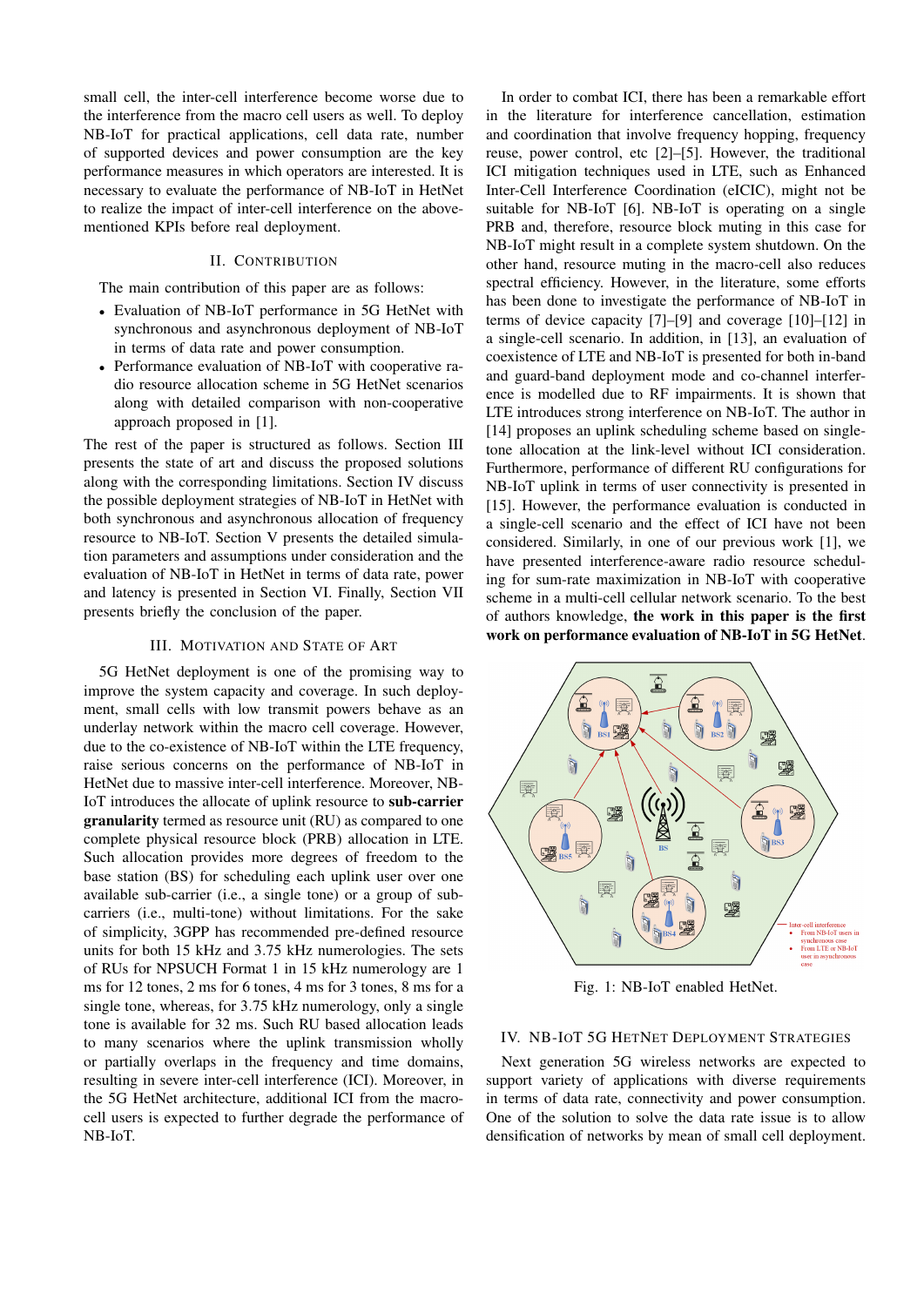small cell, the inter-cell interference become worse due to the interference from the macro cell users as well. To deploy NB-IoT for practical applications, cell data rate, number of supported devices and power consumption are the key performance measures in which operators are interested. It is necessary to evaluate the performance of NB-IoT in HetNet to realize the impact of inter-cell interference on the abovementioned KPIs before real deployment.

# II. CONTRIBUTION

The main contribution of this paper are as follows:

- Evaluation of NB-IoT performance in 5G HetNet with synchronous and asynchronous deployment of NB-IoT in terms of data rate and power consumption.
- Performance evaluation of NB-IoT with cooperative radio resource allocation scheme in 5G HetNet scenarios along with detailed comparison with non-cooperative approach proposed in [1].

The rest of the paper is structured as follows. Section III presents the state of art and discuss the proposed solutions along with the corresponding limitations. Section IV discuss the possible deployment strategies of NB-IoT in HetNet with both synchronous and asynchronous allocation of frequency resource to NB-IoT. Section V presents the detailed simulation parameters and assumptions under consideration and the evaluation of NB-IoT in HetNet in terms of data rate, power and latency is presented in Section VI. Finally, Section VII presents briefly the conclusion of the paper.

#### III. MOTIVATION AND STATE OF ART

5G HetNet deployment is one of the promising way to improve the system capacity and coverage. In such deployment, small cells with low transmit powers behave as an underlay network within the macro cell coverage. However, due to the co-existence of NB-IoT within the LTE frequency, raise serious concerns on the performance of NB-IoT in HetNet due to massive inter-cell interference. Moreover, NB-IoT introduces the allocate of uplink resource to sub-carrier granularity termed as resource unit (RU) as compared to one complete physical resource block (PRB) allocation in LTE. Such allocation provides more degrees of freedom to the base station (BS) for scheduling each uplink user over one available sub-carrier (i.e., a single tone) or a group of subcarriers (i.e., multi-tone) without limitations. For the sake of simplicity, 3GPP has recommended pre-defined resource units for both 15 kHz and 3.75 kHz numerologies. The sets of RUs for NPSUCH Format 1 in 15 kHz numerology are 1 ms for 12 tones, 2 ms for 6 tones, 4 ms for 3 tones, 8 ms for a single tone, whereas, for 3.75 kHz numerology, only a single tone is available for 32 ms. Such RU based allocation leads to many scenarios where the uplink transmission wholly or partially overlaps in the frequency and time domains, resulting in severe inter-cell interference (ICI). Moreover, in the 5G HetNet architecture, additional ICI from the macrocell users is expected to further degrade the performance of NB-IoT.

In order to combat ICI, there has been a remarkable effort in the literature for interference cancellation, estimation and coordination that involve frequency hopping, frequency reuse, power control, etc [2]–[5]. However, the traditional ICI mitigation techniques used in LTE, such as Enhanced Inter-Cell Interference Coordination (eICIC), might not be suitable for NB-IoT [6]. NB-IoT is operating on a single PRB and, therefore, resource block muting in this case for NB-IoT might result in a complete system shutdown. On the other hand, resource muting in the macro-cell also reduces spectral efficiency. However, in the literature, some efforts has been done to investigate the performance of NB-IoT in terms of device capacity [7]–[9] and coverage [10]–[12] in a single-cell scenario. In addition, in [13], an evaluation of coexistence of LTE and NB-IoT is presented for both in-band and guard-band deployment mode and co-channel interference is modelled due to RF impairments. It is shown that LTE introduces strong interference on NB-IoT. The author in [14] proposes an uplink scheduling scheme based on singletone allocation at the link-level without ICI consideration. Furthermore, performance of different RU configurations for NB-IoT uplink in terms of user connectivity is presented in [15]. However, the performance evaluation is conducted in a single-cell scenario and the effect of ICI have not been considered. Similarly, in one of our previous work [1], we have presented interference-aware radio resource scheduling for sum-rate maximization in NB-IoT with cooperative scheme in a multi-cell cellular network scenario. To the best of authors knowledge, the work in this paper is the first work on performance evaluation of NB-IoT in 5G HetNet.



Fig. 1: NB-IoT enabled HetNet.

# IV. NB-IOT 5G HETNET DEPLOYMENT STRATEGIES

Next generation 5G wireless networks are expected to support variety of applications with diverse requirements in terms of data rate, connectivity and power consumption. One of the solution to solve the data rate issue is to allow densification of networks by mean of small cell deployment.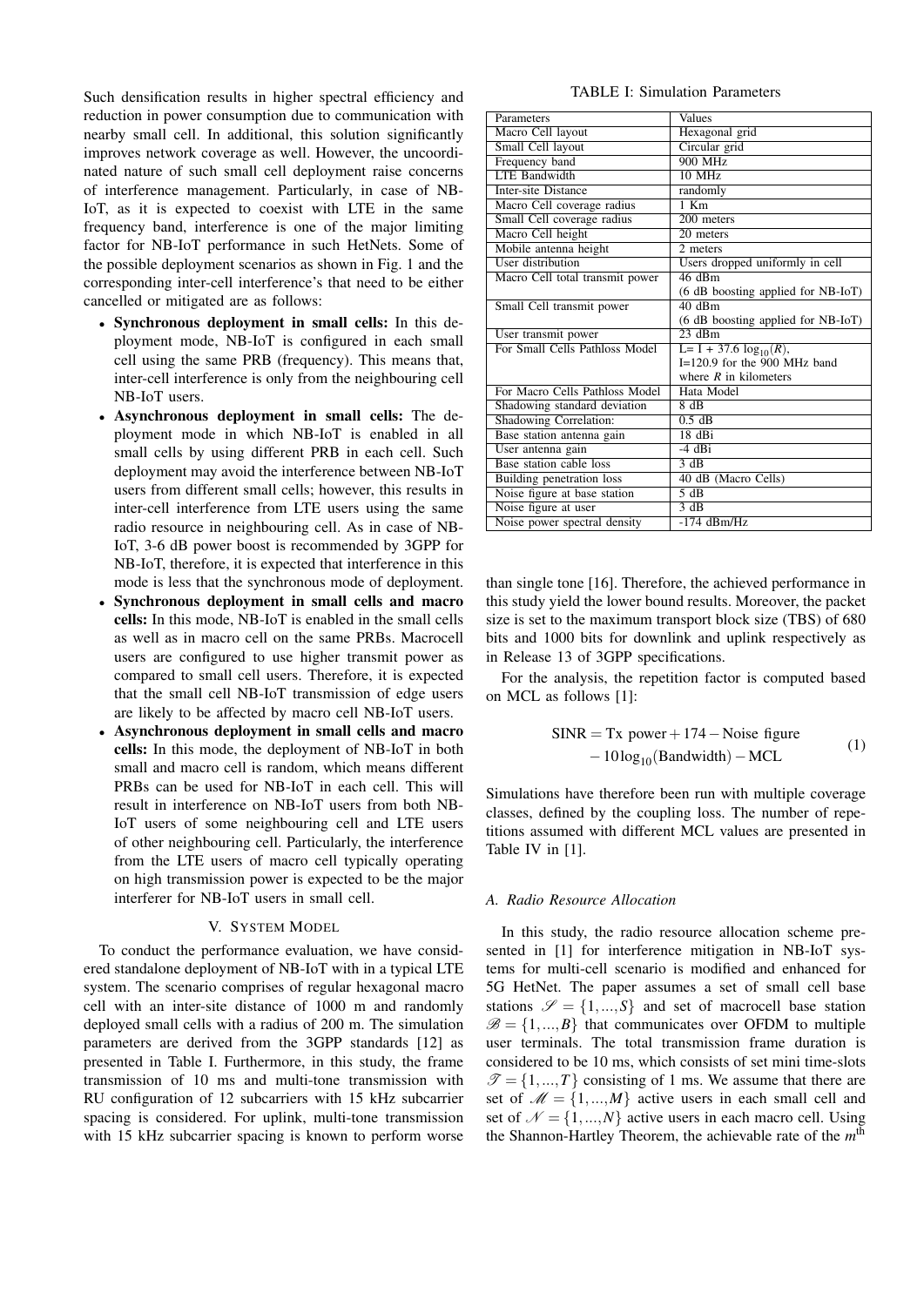Such densification results in higher spectral efficiency and reduction in power consumption due to communication with nearby small cell. In additional, this solution significantly improves network coverage as well. However, the uncoordinated nature of such small cell deployment raise concerns of interference management. Particularly, in case of NB-IoT, as it is expected to coexist with LTE in the same frequency band, interference is one of the major limiting factor for NB-IoT performance in such HetNets. Some of the possible deployment scenarios as shown in Fig. 1 and the corresponding inter-cell interference's that need to be either cancelled or mitigated are as follows:

- Synchronous deployment in small cells: In this deployment mode, NB-IoT is configured in each small cell using the same PRB (frequency). This means that, inter-cell interference is only from the neighbouring cell NB-IoT users.
- Asynchronous deployment in small cells: The deployment mode in which NB-IoT is enabled in all small cells by using different PRB in each cell. Such deployment may avoid the interference between NB-IoT users from different small cells; however, this results in inter-cell interference from LTE users using the same radio resource in neighbouring cell. As in case of NB-IoT, 3-6 dB power boost is recommended by 3GPP for NB-IoT, therefore, it is expected that interference in this mode is less that the synchronous mode of deployment.
- Synchronous deployment in small cells and macro cells: In this mode, NB-IoT is enabled in the small cells as well as in macro cell on the same PRBs. Macrocell users are configured to use higher transmit power as compared to small cell users. Therefore, it is expected that the small cell NB-IoT transmission of edge users are likely to be affected by macro cell NB-IoT users.
- Asynchronous deployment in small cells and macro cells: In this mode, the deployment of NB-IoT in both small and macro cell is random, which means different PRBs can be used for NB-IoT in each cell. This will result in interference on NB-IoT users from both NB-IoT users of some neighbouring cell and LTE users of other neighbouring cell. Particularly, the interference from the LTE users of macro cell typically operating on high transmission power is expected to be the major interferer for NB-IoT users in small cell.

## V. SYSTEM MODEL

To conduct the performance evaluation, we have considered standalone deployment of NB-IoT with in a typical LTE system. The scenario comprises of regular hexagonal macro cell with an inter-site distance of 1000 m and randomly deployed small cells with a radius of 200 m. The simulation parameters are derived from the 3GPP standards [12] as presented in Table I. Furthermore, in this study, the frame transmission of 10 ms and multi-tone transmission with RU configuration of 12 subcarriers with 15 kHz subcarrier spacing is considered. For uplink, multi-tone transmission with 15 kHz subcarrier spacing is known to perform worse

# TABLE I: Simulation Parameters

| Parameters                      | <b>Values</b>                            |
|---------------------------------|------------------------------------------|
| Macro Cell layout               | Hexagonal grid                           |
| Small Cell layout               | Circular grid                            |
| Frequency band                  | $900$ MHz                                |
| <b>LTE Bandwidth</b>            | $10$ MHz                                 |
| <b>Inter-site Distance</b>      | randomly                                 |
| Macro Cell coverage radius      | $1$ Km                                   |
| Small Cell coverage radius      | 200 meters                               |
| Macro Cell height               | 20 meters                                |
| Mobile antenna height           | 2 meters                                 |
| User distribution               | Users dropped uniformly in cell          |
| Macro Cell total transmit power | 46 dBm                                   |
|                                 | (6 dB boosting applied for NB-IoT)       |
| Small Cell transmit power       | $40$ dBm                                 |
|                                 | (6 dB boosting applied for NB-IoT)       |
| User transmit power             | 23dBm                                    |
| For Small Cells Pathloss Model  | $\overline{L} = I + 37.6 \log_{10}(R)$ , |
|                                 | $I=120.9$ for the 900 MHz band           |
|                                 | where $R$ in kilometers                  |
| For Macro Cells Pathloss Model  | Hata Model                               |
| Shadowing standard deviation    | $8 \text{ dB}$                           |
| Shadowing Correlation:          | $0.5$ dB                                 |
| Base station antenna gain       | 18dBi                                    |
| User antenna gain               | $-4$ dBi                                 |
| Base station cable loss         | $\overline{3}$ dB                        |
| Building penetration loss       | 40 dB (Macro Cells)                      |
| Noise figure at base station    | $\overline{5}$ dB                        |
| Noise figure at user            | 3 dB                                     |
| Noise power spectral density    | $-174$ dBm/Hz                            |

than single tone [16]. Therefore, the achieved performance in this study yield the lower bound results. Moreover, the packet size is set to the maximum transport block size (TBS) of 680 bits and 1000 bits for downlink and uplink respectively as in Release 13 of 3GPP specifications.

For the analysis, the repetition factor is computed based on MCL as follows [1]:

SINR = Tx power + 174 – Noise figure  
- 
$$
10\log_{10}
$$
(Bandwidth) – MCL (1)

Simulations have therefore been run with multiple coverage classes, defined by the coupling loss. The number of repetitions assumed with different MCL values are presented in Table IV in [1].

#### *A. Radio Resource Allocation*

In this study, the radio resource allocation scheme presented in [1] for interference mitigation in NB-IoT systems for multi-cell scenario is modified and enhanced for 5G HetNet. The paper assumes a set of small cell base stations  $\mathcal{S} = \{1,...,S\}$  and set of macrocell base station  $\mathscr{B} = \{1,...,B\}$  that communicates over OFDM to multiple user terminals. The total transmission frame duration is considered to be 10 ms, which consists of set mini time-slots  $\mathcal{T} = \{1, ..., T\}$  consisting of 1 ms. We assume that there are set of  $M = \{1,...,M\}$  active users in each small cell and set of  $\mathcal{N} = \{1,...,N\}$  active users in each macro cell. Using the Shannon-Hartley Theorem, the achievable rate of the *m* th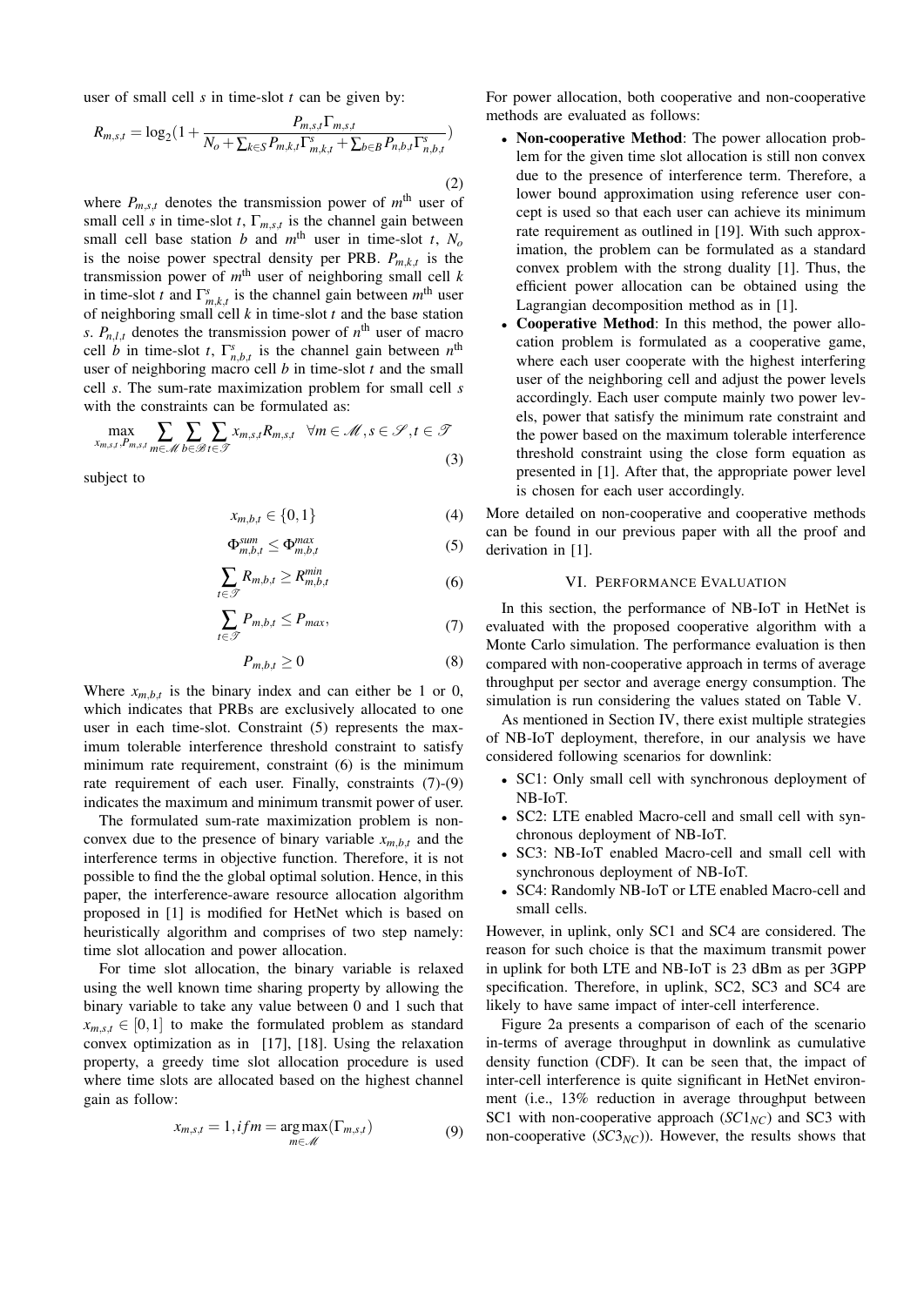user of small cell *s* in time-slot *t* can be given by:

$$
R_{m,s,t} = \log_2\left(1 + \frac{P_{m,s,t}\Gamma_{m,s,t}}{N_o + \sum_{k \in S} P_{m,k,t}\Gamma_{m,k,t}^s + \sum_{b \in B} P_{n,b,t}\Gamma_{n,b,t}^s}\right)
$$
\n(2)

where  $P_{m,s,t}$  denotes the transmission power of  $m<sup>th</sup>$  user of small cell *s* in time-slot *t*,  $\Gamma_{m,s,t}$  is the channel gain between small cell base station *b* and  $m<sup>th</sup>$  user in time-slot *t*,  $N<sub>o</sub>$ is the noise power spectral density per PRB.  $P_{m,k,t}$  is the transmission power of  $m<sup>th</sup>$  user of neighboring small cell  $k$ in time-slot *t* and  $\Gamma^s_{m,k,t}$  is the channel gain between  $m^{\text{th}}$  user of neighboring small cell *k* in time-slot *t* and the base station *s*.  $P_{n,l,t}$  denotes the transmission power of  $n^{\text{th}}$  user of macro cell *b* in time-slot *t*,  $\Gamma_{n,b,t}^s$  is the channel gain between  $n^{\text{th}}$ user of neighboring macro cell *b* in time-slot *t* and the small cell *s*. The sum-rate maximization problem for small cell *s* with the constraints can be formulated as:

$$
\max_{x_{m,s,t}, P_{m,s,t}} \sum_{m \in \mathcal{M}} \sum_{b \in \mathcal{B}} \sum_{t \in \mathcal{T}} x_{m,s,t} R_{m,s,t} \quad \forall m \in \mathcal{M}, s \in \mathcal{S}, t \in \mathcal{T}
$$
\n(3)

subject to

$$
x_{m,b,t} \in \{0,1\} \tag{4}
$$

$$
\Phi_{m,b,t}^{sum} \le \Phi_{m,b,t}^{max} \tag{5}
$$

$$
\sum_{t \in \mathcal{T}} R_{m,b,t} \ge R_{m,b,t}^{\min} \tag{6}
$$

$$
\sum_{t \in \mathcal{T}} P_{m,b,t} \le P_{max},\tag{7}
$$

$$
P_{m,b,t} \ge 0\tag{8}
$$

Where  $x_{m,b,t}$  is the binary index and can either be 1 or 0, which indicates that PRBs are exclusively allocated to one user in each time-slot. Constraint (5) represents the maximum tolerable interference threshold constraint to satisfy minimum rate requirement, constraint (6) is the minimum rate requirement of each user. Finally, constraints (7)-(9) indicates the maximum and minimum transmit power of user.

The formulated sum-rate maximization problem is nonconvex due to the presence of binary variable  $x_{m,b,t}$  and the interference terms in objective function. Therefore, it is not possible to find the the global optimal solution. Hence, in this paper, the interference-aware resource allocation algorithm proposed in [1] is modified for HetNet which is based on heuristically algorithm and comprises of two step namely: time slot allocation and power allocation.

For time slot allocation, the binary variable is relaxed using the well known time sharing property by allowing the binary variable to take any value between 0 and 1 such that  $x_{m,s,t} \in [0,1]$  to make the formulated problem as standard convex optimization as in [17], [18]. Using the relaxation property, a greedy time slot allocation procedure is used where time slots are allocated based on the highest channel gain as follow:

$$
x_{m,s,t} = 1, if m = \underset{m \in \mathcal{M}}{\arg \max} (\Gamma_{m,s,t})
$$
(9)

For power allocation, both cooperative and non-cooperative methods are evaluated as follows:

- Non-cooperative Method: The power allocation problem for the given time slot allocation is still non convex due to the presence of interference term. Therefore, a lower bound approximation using reference user concept is used so that each user can achieve its minimum rate requirement as outlined in [19]. With such approximation, the problem can be formulated as a standard convex problem with the strong duality [1]. Thus, the efficient power allocation can be obtained using the Lagrangian decomposition method as in [1].
- Cooperative Method: In this method, the power allocation problem is formulated as a cooperative game, where each user cooperate with the highest interfering user of the neighboring cell and adjust the power levels accordingly. Each user compute mainly two power levels, power that satisfy the minimum rate constraint and the power based on the maximum tolerable interference threshold constraint using the close form equation as presented in [1]. After that, the appropriate power level is chosen for each user accordingly.

More detailed on non-cooperative and cooperative methods can be found in our previous paper with all the proof and derivation in [1].

## VI. PERFORMANCE EVALUATION

In this section, the performance of NB-IoT in HetNet is evaluated with the proposed cooperative algorithm with a Monte Carlo simulation. The performance evaluation is then compared with non-cooperative approach in terms of average throughput per sector and average energy consumption. The simulation is run considering the values stated on Table V.

As mentioned in Section IV, there exist multiple strategies of NB-IoT deployment, therefore, in our analysis we have considered following scenarios for downlink:

- SC1: Only small cell with synchronous deployment of NB-IoT.
- SC2: LTE enabled Macro-cell and small cell with synchronous deployment of NB-IoT.
- SC3: NB-IoT enabled Macro-cell and small cell with synchronous deployment of NB-IoT.
- SC4: Randomly NB-IoT or LTE enabled Macro-cell and small cells.

However, in uplink, only SC1 and SC4 are considered. The reason for such choice is that the maximum transmit power in uplink for both LTE and NB-IoT is 23 dBm as per 3GPP specification. Therefore, in uplink, SC2, SC3 and SC4 are likely to have same impact of inter-cell interference.

Figure 2a presents a comparison of each of the scenario in-terms of average throughput in downlink as cumulative density function (CDF). It can be seen that, the impact of inter-cell interference is quite significant in HetNet environment (i.e., 13% reduction in average throughput between SC1 with non-cooperative approach  $(SC1<sub>NC</sub>)$  and SC3 with non-cooperative  $(SC3<sub>NC</sub>)$ ). However, the results shows that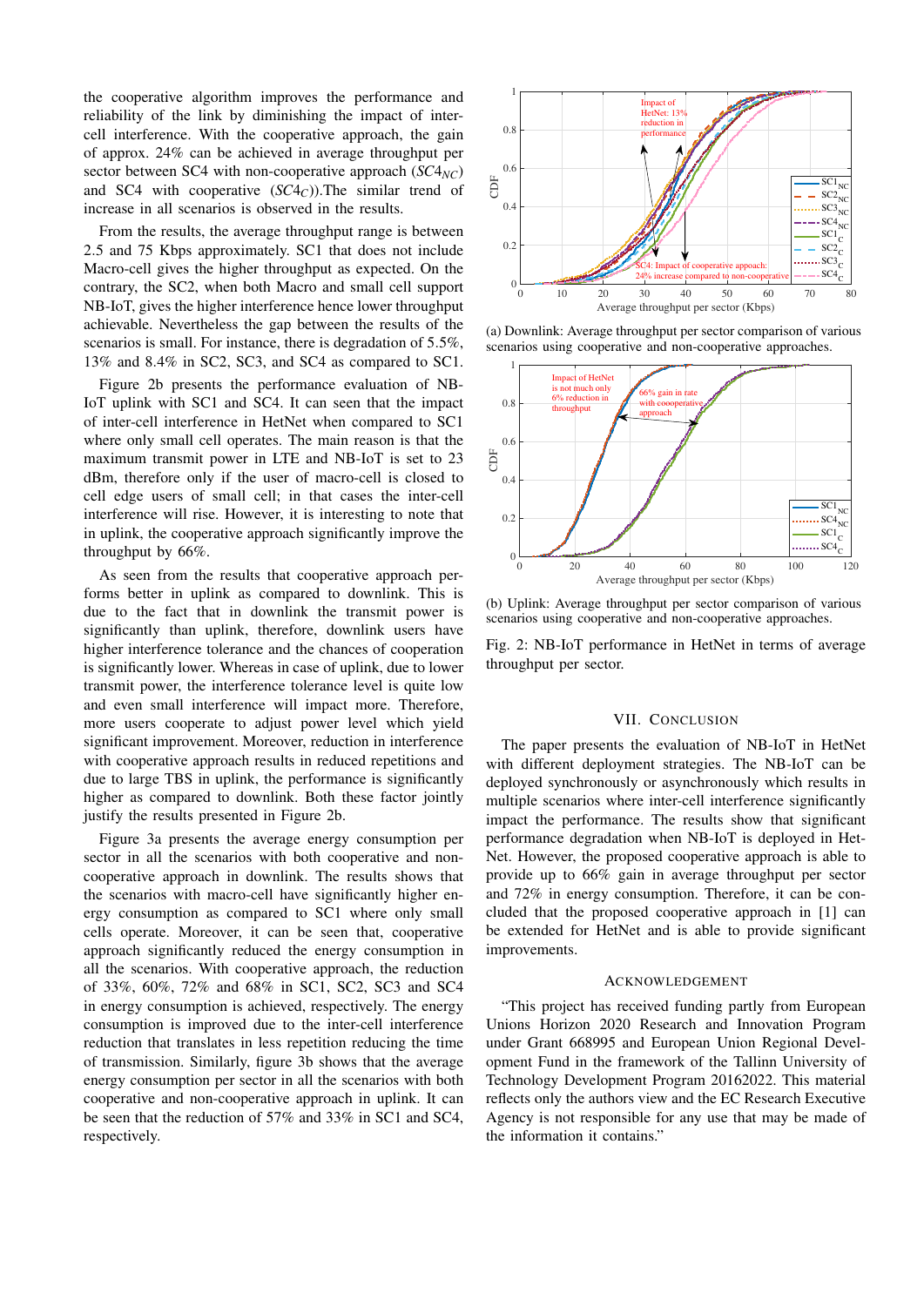the cooperative algorithm improves the performance and reliability of the link by diminishing the impact of intercell interference. With the cooperative approach, the gain of approx. 24% can be achieved in average throughput per sector between SC4 with non-cooperative approach (*SC*4*NC*) and SC4 with cooperative (*SC*4*C*)).The similar trend of increase in all scenarios is observed in the results.

From the results, the average throughput range is between 2.5 and 75 Kbps approximately. SC1 that does not include Macro-cell gives the higher throughput as expected. On the contrary, the SC2, when both Macro and small cell support NB-IoT, gives the higher interference hence lower throughput achievable. Nevertheless the gap between the results of the scenarios is small. For instance, there is degradation of 5.5%, 13% and 8.4% in SC2, SC3, and SC4 as compared to SC1.

Figure 2b presents the performance evaluation of NB-IoT uplink with SC1 and SC4. It can seen that the impact of inter-cell interference in HetNet when compared to SC1 where only small cell operates. The main reason is that the maximum transmit power in LTE and NB-IoT is set to 23 dBm, therefore only if the user of macro-cell is closed to cell edge users of small cell; in that cases the inter-cell interference will rise. However, it is interesting to note that in uplink, the cooperative approach significantly improve the throughput by 66%.

As seen from the results that cooperative approach performs better in uplink as compared to downlink. This is due to the fact that in downlink the transmit power is significantly than uplink, therefore, downlink users have higher interference tolerance and the chances of cooperation is significantly lower. Whereas in case of uplink, due to lower transmit power, the interference tolerance level is quite low and even small interference will impact more. Therefore, more users cooperate to adjust power level which yield significant improvement. Moreover, reduction in interference with cooperative approach results in reduced repetitions and due to large TBS in uplink, the performance is significantly higher as compared to downlink. Both these factor jointly justify the results presented in Figure 2b.

Figure 3a presents the average energy consumption per sector in all the scenarios with both cooperative and noncooperative approach in downlink. The results shows that the scenarios with macro-cell have significantly higher energy consumption as compared to SC1 where only small cells operate. Moreover, it can be seen that, cooperative approach significantly reduced the energy consumption in all the scenarios. With cooperative approach, the reduction of 33%, 60%, 72% and 68% in SC1, SC2, SC3 and SC4 in energy consumption is achieved, respectively. The energy consumption is improved due to the inter-cell interference reduction that translates in less repetition reducing the time of transmission. Similarly, figure 3b shows that the average energy consumption per sector in all the scenarios with both cooperative and non-cooperative approach in uplink. It can be seen that the reduction of 57% and 33% in SC1 and SC4, respectively.



(a) Downlink: Average throughput per sector comparison of various scenarios using cooperative and non-cooperative approaches.



(b) Uplink: Average throughput per sector comparison of various scenarios using cooperative and non-cooperative approaches.

Fig. 2: NB-IoT performance in HetNet in terms of average throughput per sector.

## VII. CONCLUSION

The paper presents the evaluation of NB-IoT in HetNet with different deployment strategies. The NB-IoT can be deployed synchronously or asynchronously which results in multiple scenarios where inter-cell interference significantly impact the performance. The results show that significant performance degradation when NB-IoT is deployed in Het-Net. However, the proposed cooperative approach is able to provide up to 66% gain in average throughput per sector and 72% in energy consumption. Therefore, it can be concluded that the proposed cooperative approach in [1] can be extended for HetNet and is able to provide significant improvements.

#### ACKNOWLEDGEMENT

"This project has received funding partly from European Unions Horizon 2020 Research and Innovation Program under Grant 668995 and European Union Regional Development Fund in the framework of the Tallinn University of Technology Development Program 20162022. This material reflects only the authors view and the EC Research Executive Agency is not responsible for any use that may be made of the information it contains."